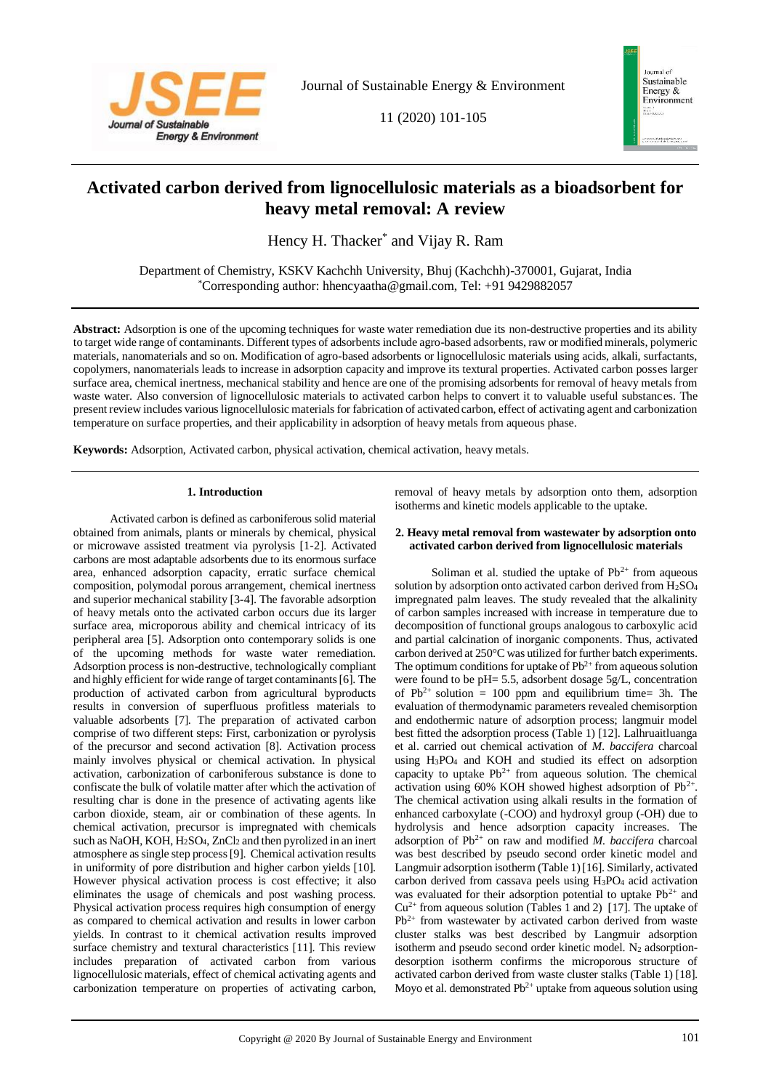

Journal of Sustainable Energy & Environment

11 (2020) 101-105



# **Activated carbon derived from lignocellulosic materials as a bioadsorbent for heavy metal removal: A review**

Hency H. Thacker<sup>\*</sup> and Vijay R. Ram

Department of Chemistry, KSKV Kachchh University, Bhuj (Kachchh)-370001, Gujarat, India \*Corresponding author: hhencyaatha@gmail.com, Tel: +91 9429882057

**Abstract:** Adsorption is one of the upcoming techniques for waste water remediation due its non-destructive properties and its ability to target wide range of contaminants. Different types of adsorbents include agro-based adsorbents, raw or modified minerals, polymeric materials, nanomaterials and so on. Modification of agro-based adsorbents or lignocellulosic materials using acids, alkali, surfactants, copolymers, nanomaterials leads to increase in adsorption capacity and improve its textural properties. Activated carbon posses larger surface area, chemical inertness, mechanical stability and hence are one of the promising adsorbents for removal of heavy metals from waste water. Also conversion of lignocellulosic materials to activated carbon helps to convert it to valuable useful substances. The present review includes various lignocellulosic materials for fabrication of activated carbon, effect of activating agent and carbonization temperature on surface properties, and their applicability in adsorption of heavy metals from aqueous phase.

**Keywords:** Adsorption, Activated carbon, physical activation, chemical activation, heavy metals.

## **1. Introduction**

Activated carbon is defined as carboniferous solid material obtained from animals, plants or minerals by chemical, physical or microwave assisted treatment via pyrolysis [1-2]. Activated carbons are most adaptable adsorbents due to its enormous surface area, enhanced adsorption capacity, erratic surface chemical composition, polymodal porous arrangement, chemical inertness and superior mechanical stability [3-4]. The favorable adsorption of heavy metals onto the activated carbon occurs due its larger surface area, microporous ability and chemical intricacy of its peripheral area [5]. Adsorption onto contemporary solids is one of the upcoming methods for waste water remediation. Adsorption process is non-destructive, technologically compliant and highly efficient for wide range of target contaminants [6]. The production of activated carbon from agricultural byproducts results in conversion of superfluous profitless materials to valuable adsorbents [7]. The preparation of activated carbon comprise of two different steps: First, carbonization or pyrolysis of the precursor and second activation [8]. Activation process mainly involves physical or chemical activation. In physical activation, carbonization of carboniferous substance is done to confiscate the bulk of volatile matter after which the activation of resulting char is done in the presence of activating agents like carbon dioxide, steam, air or combination of these agents. In chemical activation, precursor is impregnated with chemicals such as NaOH, KOH, H<sub>2</sub>SO<sub>4</sub>, ZnCl<sub>2</sub> and then pyrolized in an inert atmosphere as single step process [9]. Chemical activation results in uniformity of pore distribution and higher carbon yields [10]. However physical activation process is cost effective; it also eliminates the usage of chemicals and post washing process. Physical activation process requires high consumption of energy as compared to chemical activation and results in lower carbon yields. In contrast to it chemical activation results improved surface chemistry and textural characteristics [11]. This review includes preparation of activated carbon from various lignocellulosic materials, effect of chemical activating agents and carbonization temperature on properties of activating carbon,

removal of heavy metals by adsorption onto them, adsorption isotherms and kinetic models applicable to the uptake.

### **2. Heavy metal removal from wastewater by adsorption onto activated carbon derived from lignocellulosic materials**

Soliman et al. studied the uptake of  $Pb^{2+}$  from aqueous solution by adsorption onto activated carbon derived from H2SO<sup>4</sup> impregnated palm leaves. The study revealed that the alkalinity of carbon samples increased with increase in temperature due to decomposition of functional groups analogous to carboxylic acid and partial calcination of inorganic components. Thus, activated carbon derived at 250°C was utilized for further batch experiments. The optimum conditions for uptake of  $Pb^{2+}$  from aqueous solution were found to be pH= 5.5, adsorbent dosage 5g/L, concentration of  $Pb^{2+}$  solution = 100 ppm and equilibrium time= 3h. The evaluation of thermodynamic parameters revealed chemisorption and endothermic nature of adsorption process; langmuir model best fitted the adsorption process (Table 1) [12]. Lalhruaitluanga et al. carried out chemical activation of *M. baccifera* charcoal using H3PO<sup>4</sup> and KOH and studied its effect on adsorption capacity to uptake  $Pb^{2+}$  from aqueous solution. The chemical activation using  $60\%$  KOH showed highest adsorption of Pb<sup>2+</sup>. The chemical activation using alkali results in the formation of enhanced carboxylate (-COO) and hydroxyl group (-OH) due to hydrolysis and hence adsorption capacity increases. The adsorption of Pb2+ on raw and modified *M. baccifera* charcoal was best described by pseudo second order kinetic model and Langmuir adsorption isotherm (Table 1)[16]. Similarly, activated carbon derived from cassava peels using H3PO<sup>4</sup> acid activation was evaluated for their adsorption potential to uptake  $Pb^{2+}$  and  $Cu^{2+}$  from aqueous solution (Tables 1 and 2) [17]. The uptake of Pb2+ from wastewater by activated carbon derived from waste cluster stalks was best described by Langmuir adsorption isotherm and pseudo second order kinetic model. N<sub>2</sub> adsorptiondesorption isotherm confirms the microporous structure of activated carbon derived from waste cluster stalks (Table 1) [18]. Moyo et al. demonstrated  $Pb^{2+}$  uptake from aqueous solution using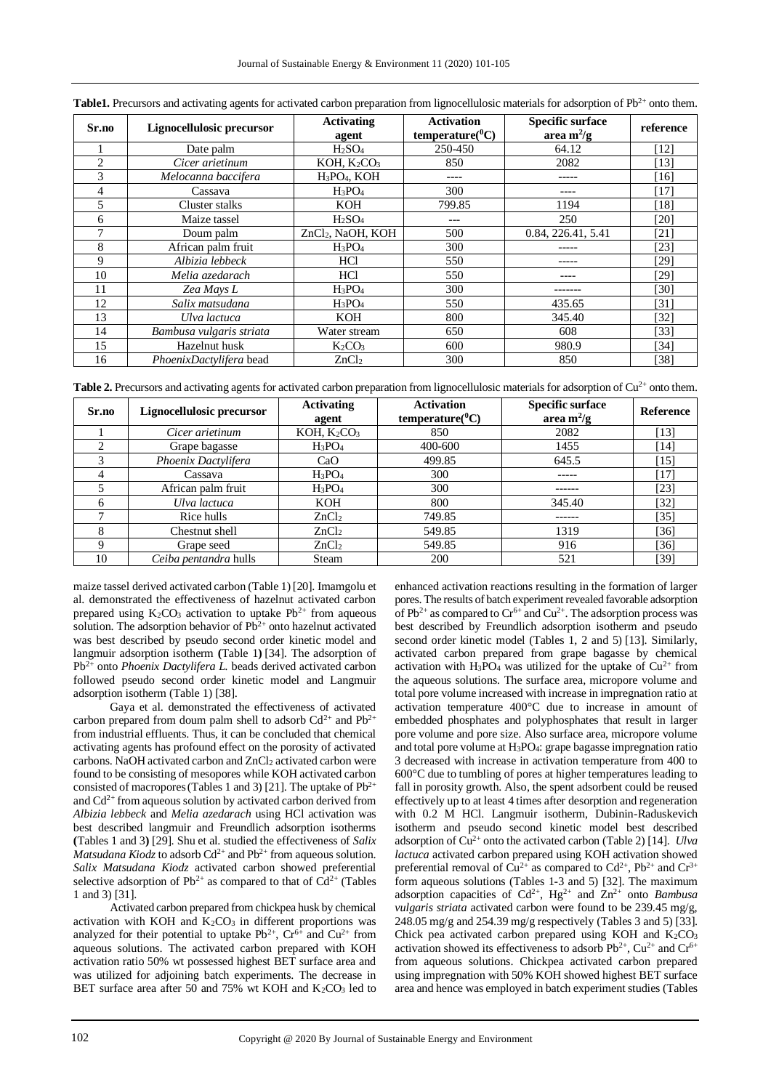| Sr.no          | Lignocellulosic precursor | <b>Activating</b><br>agent           | <b>Activation</b><br>$temperature(^0C)$ | <b>Specific surface</b><br>area $m^2/g$ | reference |
|----------------|---------------------------|--------------------------------------|-----------------------------------------|-----------------------------------------|-----------|
|                | Date palm                 | H <sub>2</sub> SO <sub>4</sub>       | 250-450                                 | 64.12                                   | [12]      |
| $\overline{c}$ | Cicer arietinum           | KOH, K <sub>2</sub> CO <sub>3</sub>  | 850                                     | 2082                                    | [13]      |
| 3              | Melocanna baccifera       | H <sub>3</sub> PO <sub>4</sub> , KOH | ----                                    |                                         | [16]      |
| 4              | Cassava                   | $H_3PO_4$                            | 300                                     |                                         | 17        |
| 5              | Cluster stalks            | <b>KOH</b>                           | 799.85                                  | 1194                                    | [18]      |
| 6              | Maize tassel              | H <sub>2</sub> SO <sub>4</sub>       |                                         | 250                                     | [20]      |
|                | Doum palm                 | ZnCl <sub>2</sub> , NaOH, KOH        | 500                                     | 0.84, 226.41, 5.41                      | [21]      |
| 8              | African palm fruit        | $H_3PO_4$                            | 300                                     |                                         | [23]      |
| 9              | Albizia lebbeck           | HCl                                  | 550                                     |                                         | [29]      |
| 10             | Melia azedarach           | <b>HCl</b>                           | 550                                     |                                         | [29]      |
| 11             | Zea Mays L                | $H_3PO_4$                            | 300                                     |                                         | [30]      |
| 12             | Salix matsudana           | $H_3PO_4$                            | 550                                     | 435.65                                  | [31]      |
| 13             | Ulva lactuca              | <b>KOH</b>                           | 800                                     | 345.40                                  | [32]      |
| 14             | Bambusa vulgaris striata  | Water stream                         | 650                                     | 608                                     | [33]      |
| 15             | Hazelnut husk             | $K_2CO_3$                            | 600                                     | 980.9                                   | [34]      |
| 16             | PhoenixDactylifera bead   | ZnCl <sub>2</sub>                    | 300                                     | 850                                     | [38]      |

| Table1. Precursors and activating agents for activated carbon preparation from lignocellulosic materials for adsorption of $Pb^{2+}$ onto them. |  |  |  |
|-------------------------------------------------------------------------------------------------------------------------------------------------|--|--|--|
|                                                                                                                                                 |  |  |  |

**Table 2.** Precursors and activating agents for activated carbon preparation from lignocellulosic materials for adsorption of  $Cu^{2+}$  onto them.

| Sr.no | Lignocellulosic precursor | <b>Activating</b><br>agent          | <b>Activation</b><br>$temperature(^{0}C)$ | <b>Specific surface</b><br>area m <sup>2</sup> /g | Reference          |
|-------|---------------------------|-------------------------------------|-------------------------------------------|---------------------------------------------------|--------------------|
|       | Cicer arietinum           | KOH, K <sub>2</sub> CO <sub>3</sub> | 850                                       | 2082                                              | [13]               |
|       | Grape bagasse             | $H_3PO_4$                           | 400-600                                   | 1455                                              | [14]               |
|       | Phoenix Dactylifera       | CaO                                 | 499.85                                    | 645.5                                             | $[15]$             |
|       | Cassava                   | $H_3PO_4$                           | 300                                       | -----                                             | [17]               |
|       | African palm fruit        | $H_3PO_4$                           | 300                                       |                                                   | [23]               |
|       | Ulva lactuca              | KOH                                 | 800                                       | 345.40                                            | $\lceil 32 \rceil$ |
|       | Rice hulls                | ZnCl <sub>2</sub>                   | 749.85                                    |                                                   | $[35]$             |
|       | Chestnut shell            | ZnCl <sub>2</sub>                   | 549.85                                    | 1319                                              | [36]               |
|       | Grape seed                | ZnCl <sub>2</sub>                   | 549.85                                    | 916                                               | [36]               |
| 10    | Ceiba pentandra hulls     | Steam                               | 200                                       | 521                                               | [39]               |

maize tassel derived activated carbon (Table 1) [20]. Imamgolu et al. demonstrated the effectiveness of hazelnut activated carbon prepared using  $K_2CO_3$  activation to uptake  $Pb^{2+}$  from aqueous solution. The adsorption behavior of  $Pb^{2+}$  onto hazelnut activated was best described by pseudo second order kinetic model and langmuir adsorption isotherm **(**Table 1**)** [34]. The adsorption of Pb2+ onto *Phoenix Dactylifera L.* beads derived activated carbon followed pseudo second order kinetic model and Langmuir adsorption isotherm (Table 1) [38].

Gaya et al. demonstrated the effectiveness of activated carbon prepared from doum palm shell to adsorb  $Cd^{2+}$  and  $Pb^{2+}$ from industrial effluents. Thus, it can be concluded that chemical activating agents has profound effect on the porosity of activated carbons. NaOH activated carbon and ZnCl<sub>2</sub> activated carbon were found to be consisting of mesopores while KOH activated carbon consisted of macropores (Tables 1 and 3) [21]. The uptake of  $Pb^{2+}$ and  $Cd^{2+}$  from aqueous solution by activated carbon derived from *Albizia lebbeck* and *Melia azedarach* using HCl activation was best described langmuir and Freundlich adsorption isotherms **(**Tables 1 and 3**)** [29]. Shu et al. studied the effectiveness of *Salix Matsudana Kiodz* to adsorb  $Cd^{2+}$  and  $Pb^{2+}$  from aqueous solution. *Salix Matsudana Kiodz* activated carbon showed preferential selective adsorption of  $Pb^{2+}$  as compared to that of  $Cd^{2+}$  (Tables 1 and 3) [31].

Activated carbon prepared from chickpea husk by chemical activation with KOH and  $K_2CO_3$  in different proportions was analyzed for their potential to uptake  $Pb^{2+}$ ,  $Cr^{6+}$  and  $Cu^{2+}$  from aqueous solutions. The activated carbon prepared with KOH activation ratio 50% wt possessed highest BET surface area and was utilized for adjoining batch experiments. The decrease in BET surface area after 50 and 75% wt KOH and K<sub>2</sub>CO<sub>3</sub> led to enhanced activation reactions resulting in the formation of larger pores. The results of batch experiment revealed favorable adsorption of  $Pb^{2+}$  as compared to  $Cr^{6+}$  and  $Cu^{2+}$ . The adsorption process was best described by Freundlich adsorption isotherm and pseudo second order kinetic model (Tables 1, 2 and 5) [13]. Similarly, activated carbon prepared from grape bagasse by chemical activation with H<sub>3</sub>PO<sub>4</sub> was utilized for the uptake of  $Cu^{2+}$  from the aqueous solutions. The surface area, micropore volume and total pore volume increased with increase in impregnation ratio at activation temperature 400°C due to increase in amount of embedded phosphates and polyphosphates that result in larger pore volume and pore size. Also surface area, micropore volume and total pore volume at H3PO4: grape bagasse impregnation ratio 3 decreased with increase in activation temperature from 400 to 600°C due to tumbling of pores at higher temperatures leading to fall in porosity growth. Also, the spent adsorbent could be reused effectively up to at least 4 times after desorption and regeneration with 0.2 M HCl. Langmuir isotherm, Dubinin-Raduskevich isotherm and pseudo second kinetic model best described adsorption of Cu2+ onto the activated carbon (Table 2) [14]. *Ulva lactuca* activated carbon prepared using KOH activation showed preferential removal of  $Cu^{2+}$  as compared to  $Cd^{2+}$ ,  $Pb^{2+}$  and  $Cr^{3+}$ form aqueous solutions (Tables 1-3 and 5) [32]. The maximum adsorption capacities of Cd2+, Hg2+ and Zn2+ onto *Bambusa vulgaris striata* activated carbon were found to be 239.45 mg/g, 248.05 mg/g and 254.39 mg/g respectively (Tables 3 and 5) [33]. Chick pea activated carbon prepared using KOH and K<sub>2</sub>CO<sub>3</sub> activation showed its effectiveness to adsorb  $Pb^{2+}$ ,  $Cu^{2+}$  and  $Cr^{6+}$ from aqueous solutions. Chickpea activated carbon prepared using impregnation with 50% KOH showed highest BET surface area and hence was employed in batch experiment studies (Tables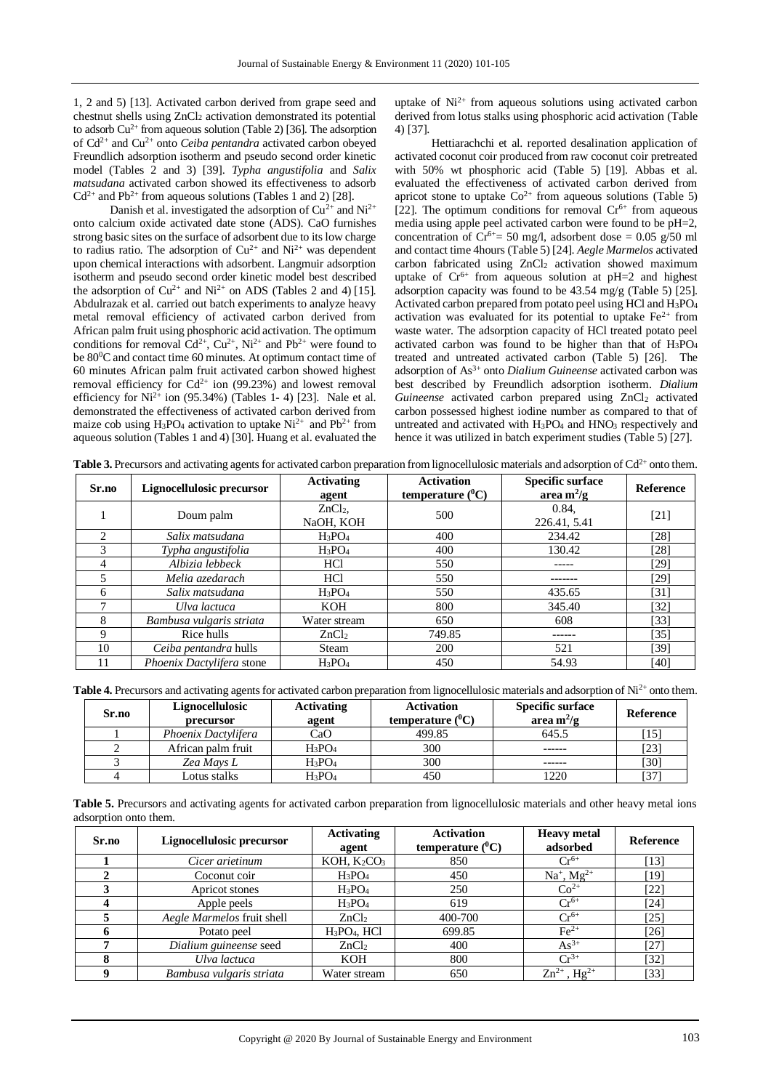1, 2 and 5) [13]. Activated carbon derived from grape seed and chestnut shells using ZnCl<sup>2</sup> activation demonstrated its potential to adsorb  $Cu^{2+}$  from aqueous solution (Table 2) [36]. The adsorption of Cd2+ and Cu2+ onto *Ceiba pentandra* activated carbon obeyed Freundlich adsorption isotherm and pseudo second order kinetic model (Tables 2 and 3) [39]. *Typha angustifolia* and *Salix matsudana* activated carbon showed its effectiveness to adsorb  $Cd^{2+}$  and Pb<sup>2+</sup> from aqueous solutions (Tables 1 and 2) [28].

Danish et al. investigated the adsorption of  $Cu^{2+}$  and Ni<sup>2+</sup> onto calcium oxide activated date stone (ADS). CaO furnishes strong basic sites on the surface of adsorbent due to its low charge to radius ratio. The adsorption of  $Cu^{2+}$  and  $Ni^{2+}$  was dependent upon chemical interactions with adsorbent. Langmuir adsorption isotherm and pseudo second order kinetic model best described the adsorption of  $Cu^{2+}$  and Ni<sup>2+</sup> on ADS (Tables 2 and 4) [15]. Abdulrazak et al. carried out batch experiments to analyze heavy metal removal efficiency of activated carbon derived from African palm fruit using phosphoric acid activation. The optimum conditions for removal  $Cd^{2+}$ ,  $Cu^{2+}$ ,  $Ni^{2+}$  and  $Pb^{2+}$  were found to be 80<sup>0</sup>C and contact time 60 minutes. At optimum contact time of 60 minutes African palm fruit activated carbon showed highest removal efficiency for  $Cd^{2+}$  ion (99.23%) and lowest removal efficiency for  $Ni^{2+}$  ion (95.34%) (Tables 1-4) [23]. Nale et al. demonstrated the effectiveness of activated carbon derived from maize cob using H<sub>3</sub>PO<sub>4</sub> activation to uptake  $Ni^{2+}$  and  $Pb^{2+}$  from aqueous solution (Tables 1 and 4) [30]. Huang et al. evaluated the

uptake of  $Ni<sup>2+</sup>$  from aqueous solutions using activated carbon derived from lotus stalks using phosphoric acid activation (Table 4) [37].

Hettiarachchi et al. reported desalination application of activated coconut coir produced from raw coconut coir pretreated with 50% wt phosphoric acid (Table 5) [19]. Abbas et al. evaluated the effectiveness of activated carbon derived from apricot stone to uptake  $Co^{2+}$  from aqueous solutions (Table 5) [22]. The optimum conditions for removal  $Cr<sup>6+</sup>$  from aqueous media using apple peel activated carbon were found to be pH=2, concentration of  $Cr^{6+}$  = 50 mg/l, adsorbent dose = 0.05 g/50 ml and contact time 4hours (Table 5) [24]. *Aegle Marmelos* activated carbon fabricated using ZnCl<sub>2</sub> activation showed maximum uptake of  $Cr^{6+}$  from aqueous solution at pH=2 and highest adsorption capacity was found to be 43.54 mg/g (Table 5) [25]. Activated carbon prepared from potato peel using HCl and H3PO<sup>4</sup> activation was evaluated for its potential to uptake  $Fe<sup>2+</sup>$  from waste water. The adsorption capacity of HCl treated potato peel activated carbon was found to be higher than that of H3PO<sup>4</sup> treated and untreated activated carbon (Table 5) [26]. The adsorption of As3+ onto *Dialium Guineense* activated carbon was best described by Freundlich adsorption isotherm. *Dialium*  Guineense activated carbon prepared using ZnCl<sub>2</sub> activated carbon possessed highest iodine number as compared to that of untreated and activated with H<sub>3</sub>PO<sub>4</sub> and HNO<sub>3</sub> respectively and hence it was utilized in batch experiment studies (Table 5) [27].

| Table 3. Precursors and activating agents for activated carbon preparation from lignocellulosic materials and adsorption of Cd <sup>2+</sup> onto them. |  |  |  |
|---------------------------------------------------------------------------------------------------------------------------------------------------------|--|--|--|
|                                                                                                                                                         |  |  |  |

| Sr.no | Lignocellulosic precursor | <b>Activating</b><br>agent     | <b>Activation</b><br>temperature $(^0C)$ | <b>Specific surface</b><br>area m <sup>2</sup> /g | <b>Reference</b> |
|-------|---------------------------|--------------------------------|------------------------------------------|---------------------------------------------------|------------------|
|       | Doum palm                 | ZnCl <sub>2</sub><br>NaOH, KOH | 500                                      | 0.84.<br>226.41, 5.41                             | $[21]$           |
| ↑     | Salix matsudana           | $H_3PO_4$                      | 400                                      | 234.42                                            | [28]             |
| 3     | Typha angustifolia        | $H_3PO_4$                      | 400                                      | 130.42                                            | [28]             |
| 4     | Albizia lebbeck           | <b>HCl</b>                     | 550                                      |                                                   | [29]             |
|       | Melia azedarach           | <b>HCl</b>                     | 550                                      |                                                   | [29]             |
| 6     | Salix matsudana           | $H_3PO_4$                      | 550                                      | 435.65                                            | [31]             |
|       | Ulva lactuca              | <b>KOH</b>                     | 800                                      | 345.40                                            | [32]             |
| 8     | Bambusa vulgaris striata  | Water stream                   | 650                                      | 608                                               | [33]             |
| 9     | Rice hulls                | ZnCl <sub>2</sub>              | 749.85                                   | ------                                            | [35]             |
| 10    | Ceiba pentandra hulls     | Steam                          | 200                                      | 521                                               | [39]             |
|       | Phoenix Dactylifera stone | $H_3PO_4$                      | 450                                      | 54.93                                             | [40]             |

**Table 4.** Precursors and activating agents for activated carbon preparation from lignocellulosic materials and adsorption of Ni<sup>2+</sup> onto them.

| Sr.no | Lignocellulosic<br>precursor | <b>Activating</b><br>agent | <b>Activation</b><br>temperature $(^0C)$ | <b>Specific surface</b><br>area $m^2/g$ | Reference |
|-------|------------------------------|----------------------------|------------------------------------------|-----------------------------------------|-----------|
|       | Phoenix Dactylifera          | CaO                        | 499.85                                   | 645.5                                   | [15]      |
|       | African palm fruit           | $H_3PO_4$                  | 300                                      |                                         | $[23]$    |
|       | Zea Mays L                   | $H_3PO_4$                  | 300                                      |                                         | $[30]$    |
|       | Lotus stalks                 | $H_3PO_4$                  | 450                                      | 1220                                    | $[37]$    |

**Table 5.** Precursors and activating agents for activated carbon preparation from lignocellulosic materials and other heavy metal ions adsorption onto them.

| Sr.no | Lignocellulosic precursor  | <b>Activating</b><br>agent | <b>Activation</b><br>temperature $(^{0}C)$ | <b>Heavy</b> metal<br>adsorbed | Reference |
|-------|----------------------------|----------------------------|--------------------------------------------|--------------------------------|-----------|
|       | Cicer arietinum            | KOH, $K_2CO_3$             | 850                                        | $Cr^{6+}$                      | $[13]$    |
|       | Coconut coir               | $H_3PO_4$                  | 450                                        | $Na^{+}$ , $Mg^{2+}$           | [19]      |
|       | Apricot stones             | $H_3PO_4$                  | 250                                        | $Co2+$                         | [22]      |
|       | Apple peels                | $H_3PO_4$                  | 619                                        | $Cr^{6+}$                      | [24]      |
|       | Aegle Marmelos fruit shell | ZnCl <sub>2</sub>          | 400-700                                    | $Cr^{6+}$                      | [25]      |
|       | Potato peel                | $H_3PO_4$ , $HCl$          | 699.85                                     | $\text{Fe}^{2+}$               | [26]      |
|       | Dialium guineense seed     | ZnCl <sub>2</sub>          | 400                                        | $As^{3+}$                      | [27]      |
|       | Ulva lactuca               | KOH                        | 800                                        | $Cr^{3+}$                      | [32]      |
|       | Bambusa vulgaris striata   | Water stream               | 650                                        | $Zn^{2+}$ , Hg <sup>2+</sup>   | [33]      |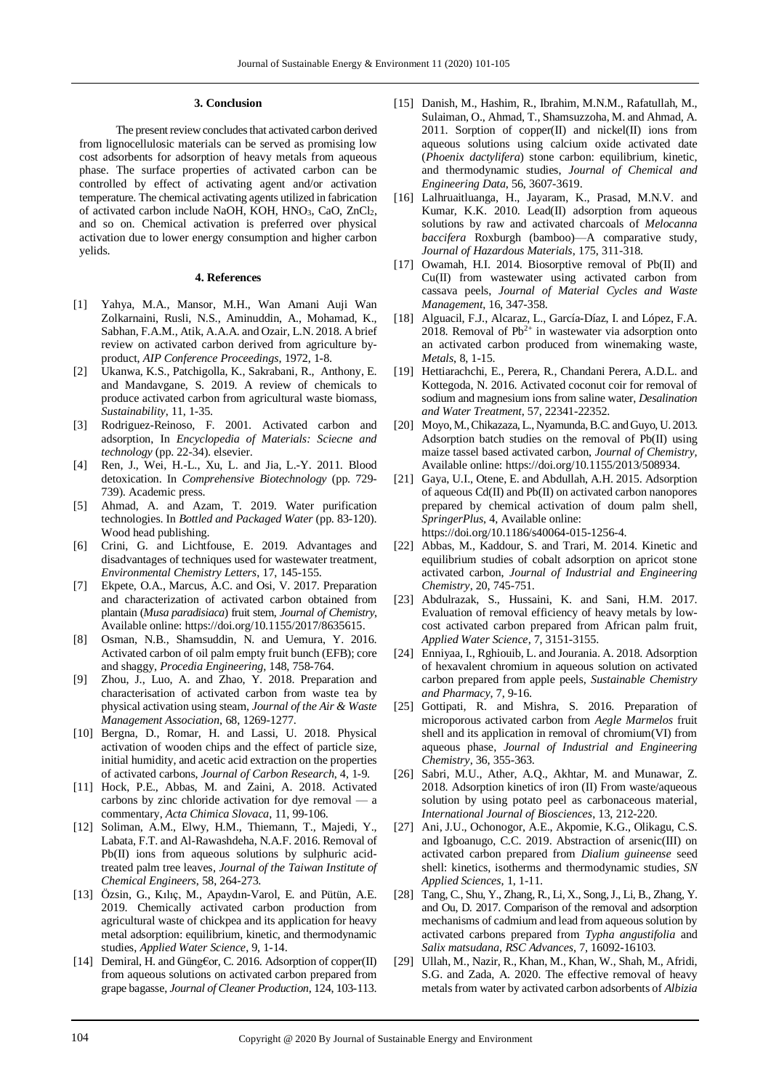#### **3. Conclusion**

The present review concludes that activated carbon derived from lignocellulosic materials can be served as promising low cost adsorbents for adsorption of heavy metals from aqueous phase. The surface properties of activated carbon can be controlled by effect of activating agent and/or activation temperature. The chemical activating agents utilized in fabrication of activated carbon include NaOH, KOH, HNO3, CaO, ZnCl2, and so on. Chemical activation is preferred over physical activation due to lower energy consumption and higher carbon yelids.

### **4. References**

- [1] Yahya, M.A., Mansor, M.H., Wan Amani Auji Wan Zolkarnaini, Rusli, N.S., Aminuddin, A., Mohamad, K., Sabhan, F.A.M., Atik, A.A.A. and Ozair, L.N. 2018. A brief review on activated carbon derived from agriculture byproduct, *AIP Conference Proceedings*, 1972, 1-8.
- [2] Ukanwa, K.S., Patchigolla, K., Sakrabani, R., Anthony, E. and Mandavgane, S. 2019. A review of chemicals to produce activated carbon from agricultural waste biomass, *Sustainability*, 11, 1-35.
- [3] Rodriguez-Reinoso, F. 2001. Activated carbon and adsorption, In *Encyclopedia of Materials: Sciecne and technology* (pp. 22-34). elsevier.
- [4] Ren, J., Wei, H.-L., Xu, L. and Jia, L.-Y. 2011. Blood detoxication. In *Comprehensive Biotechnology* (pp. 729- 739). Academic press.
- [5] Ahmad, A. and Azam, T. 2019. Water purification technologies. In *Bottled and Packaged Water* (pp. 83-120). Wood head publishing.
- [6] Crini, G. and Lichtfouse, E. 2019. Advantages and disadvantages of techniques used for wastewater treatment, *Environmental Chemistry Letters*, 17, 145-155.
- [7] Ekpete, O.A., Marcus, A.C. and Osi, V. 2017. Preparation and characterization of activated carbon obtained from plantain (*Musa paradisiaca*) fruit stem, *Journal of Chemistry*, Available online: https://doi.org/10.1155/2017/8635615.
- [8] Osman, N.B., Shamsuddin, N. and Uemura, Y. 2016. Activated carbon of oil palm empty fruit bunch (EFB); core and shaggy, *Procedia Engineering*, 148, 758-764.
- [9] Zhou, J., Luo, A. and Zhao, Y. 2018. Preparation and characterisation of activated carbon from waste tea by physical activation using steam, *Journal of the Air & Waste Management Association*, 68, 1269-1277.
- [10] Bergna, D., Romar, H. and Lassi, U. 2018. Physical activation of wooden chips and the effect of particle size, initial humidity, and acetic acid extraction on the properties of activated carbons, *Journal of Carbon Research*, 4, 1-9.
- [11] Hock, P.E., Abbas, M. and Zaini, A. 2018. Activated carbons by zinc chloride activation for dye removal — a commentary, *Acta Chimica Slovaca*, 11, 99-106.
- [12] Soliman, A.M., Elwy, H.M., Thiemann, T., Majedi, Y., Labata, F.T. and Al-Rawashdeha, N.A.F. 2016. Removal of Pb(II) ions from aqueous solutions by sulphuric acidtreated palm tree leaves, *Journal of the Taiwan Institute of Chemical Engineers*, 58, 264-273.
- [13] Özsin, G., Kılıç, M., Apaydın-Varol, E. and Pütün, A.E. 2019. Chemically activated carbon production from agricultural waste of chickpea and its application for heavy metal adsorption: equilibrium, kinetic, and thermodynamic studies, *Applied Water Science*, 9, 1-14.
- [14] Demiral, H. and Güng€or, C. 2016. Adsorption of copper(II) from aqueous solutions on activated carbon prepared from grape bagasse, *Journal of Cleaner Production*, 124, 103-113.
- [15] Danish, M., Hashim, R., Ibrahim, M.N.M., Rafatullah, M., Sulaiman, O., Ahmad, T., Shamsuzzoha, M. and Ahmad, A. 2011. Sorption of copper $(II)$  and nickel $(II)$  ions from aqueous solutions using calcium oxide activated date (*Phoenix dactylifera*) stone carbon: equilibrium, kinetic, and thermodynamic studies, *Journal of Chemical and Engineering Data*, 56, 3607-3619.
- [16] Lalhruaitluanga, H., Jayaram, K., Prasad, M.N.V. and Kumar, K.K. 2010. Lead(II) adsorption from aqueous solutions by raw and activated charcoals of *Melocanna baccifera* Roxburgh (bamboo)—A comparative study, *Journal of Hazardous Materials*, 175, 311-318.
- [17] Owamah, H.I. 2014. Biosorptive removal of Pb(II) and Cu(II) from wastewater using activated carbon from cassava peels, *Journal of Material Cycles and Waste Management*, 16, 347-358.
- [18] Alguacil, F.J., Alcaraz, L., García-Díaz, I. and López, F.A. 2018. Removal of  $Pb^{2+}$  in wastewater via adsorption onto an activated carbon produced from winemaking waste, *Metals*, 8, 1-15.
- [19] Hettiarachchi, E., Perera, R., Chandani Perera, A.D.L. and Kottegoda, N. 2016. Activated coconut coir for removal of sodium and magnesium ions from saline water, *Desalination and Water Treatment*, 57, 22341-22352.
- [20] Moyo, M., Chikazaza, L., Nyamunda, B.C. and Guyo, U. 2013. Adsorption batch studies on the removal of Pb(II) using maize tassel based activated carbon, *Journal of Chemistry,*  Available online: https://doi.org/10.1155/2013/508934.
- [21] Gaya, U.I., Otene, E. and Abdullah, A.H. 2015. Adsorption of aqueous Cd(II) and Pb(II) on activated carbon nanopores prepared by chemical activation of doum palm shell, *SpringerPlus*, 4, Available online: https://doi.org/10.1186/s40064-015-1256-4.
- [22] Abbas, M., Kaddour, S. and Trari, M. 2014. Kinetic and equilibrium studies of cobalt adsorption on apricot stone activated carbon, *Journal of Industrial and Engineering Chemistry*, 20, 745-751.
- [23] Abdulrazak, S., Hussaini, K. and Sani, H.M. 2017. Evaluation of removal efficiency of heavy metals by lowcost activated carbon prepared from African palm fruit, *Applied Water Science*, 7, 3151-3155.
- [24] Enniyaa, I., Rghiouib, L. and Jourania. A. 2018. Adsorption of hexavalent chromium in aqueous solution on activated carbon prepared from apple peels, *Sustainable Chemistry and Pharmacy*, 7, 9-16.
- [25] Gottipati, R. and Mishra, S. 2016. Preparation of microporous activated carbon from *Aegle Marmelos* fruit shell and its application in removal of chromium(VI) from aqueous phase, *Journal of Industrial and Engineering Chemistry*, 36, 355-363.
- [26] Sabri, M.U., Ather, A.Q., Akhtar, M. and Munawar, Z. 2018. Adsorption kinetics of iron (II) From waste/aqueous solution by using potato peel as carbonaceous material, *International Journal of Biosciences*, 13, 212-220.
- [27] Ani, J.U., Ochonogor, A.E., Akpomie, K.G., Olikagu, C.S. and Igboanugo, C.C. 2019. Abstraction of arsenic(III) on activated carbon prepared from *Dialium guineense* seed shell: kinetics, isotherms and thermodynamic studies, *SN Applied Sciences*, 1, 1-11.
- [28] Tang, C., Shu, Y., Zhang, R., Li, X., Song,J., Li, B., Zhang, Y. and Ou, D. 2017. Comparison of the removal and adsorption mechanisms of cadmium and lead from aqueous solution by activated carbons prepared from *Typha angustifolia* and *Salix matsudana*, *RSC Advances*, 7, 16092-16103.
- [29] Ullah, M., Nazir, R., Khan, M., Khan, W., Shah, M., Afridi, S.G. and Zada, A. 2020. The effective removal of heavy metals from water by activated carbon adsorbents of *Albizia*